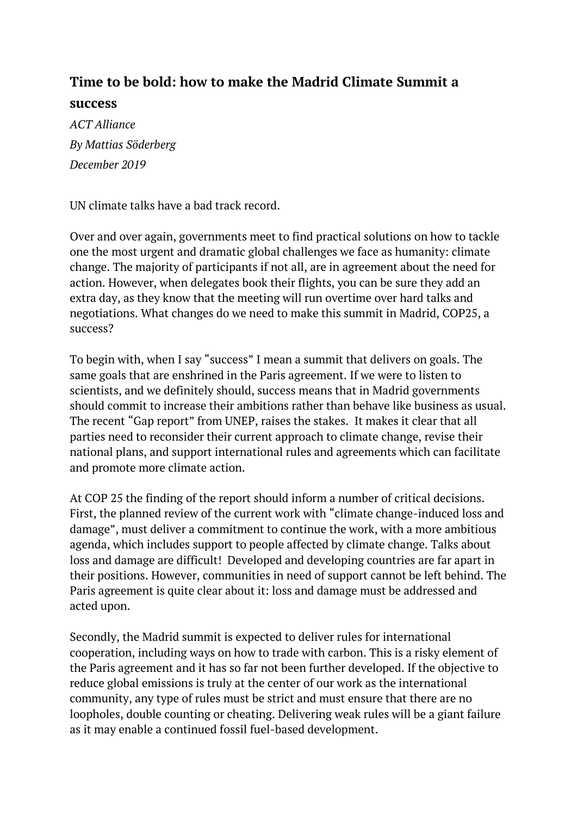## **Time to be bold: how to make the Madrid Climate Summit a success**

*ACT Alliance By Mattias Söderberg December 2019* 

UN climate talks have a bad track record.

Over and over again, governments meet to find practical solutions on how to tackle one the most urgent and dramatic global challenges we face as humanity: climate change. The majority of participants if not all, are in agreement about the need for action. However, when delegates book their flights, you can be sure they add an extra day, as they know that the meeting will run overtime over hard talks and negotiations. What changes do we need to make this summit in Madrid, COP25, a success?

To begin with, when I say "success" I mean a summit that delivers on goals. The same goals that are enshrined in the Paris agreement. If we were to listen to scientists, and we definitely should, success means that in Madrid governments should commit to increase their ambitions rather than behave like business as usual. The recent "Gap [report](https://www.unenvironment.org/interactive/emissions-gap-report/2019/)" from UNEP, raises the stakes. It makes it clear that all parties need to reconsider their current approach to climate change, revise their national plans, and support international rules and agreements which can facilitate and promote more climate action.

At COP 25 the finding of the report should inform a number of critical decisions. First, the planned review of the current work with "climate change-induced loss and damage", must deliver a commitment to continue the work, with a more ambitious agenda, which includes support to people affected by climate change. Talks about loss and damage are difficult! Developed and developing countries are far apart in their positions. However, communities in need of support cannot be left behind. The Paris agreement is quite clear about it: loss and damage must be addressed and acted upon.

Secondly, the Madrid summit is expected to deliver rules for international cooperation, including ways on how to trade with carbon. This is a risky element of the Paris agreement and it has so far not been further developed. If the objective to reduce global emissions is truly at the center of our work as the international community, any type of rules must be strict and must ensure that there are no loopholes, double counting or cheating. Delivering weak rules will be a giant failure as it may enable a continued fossil fuel-based development.